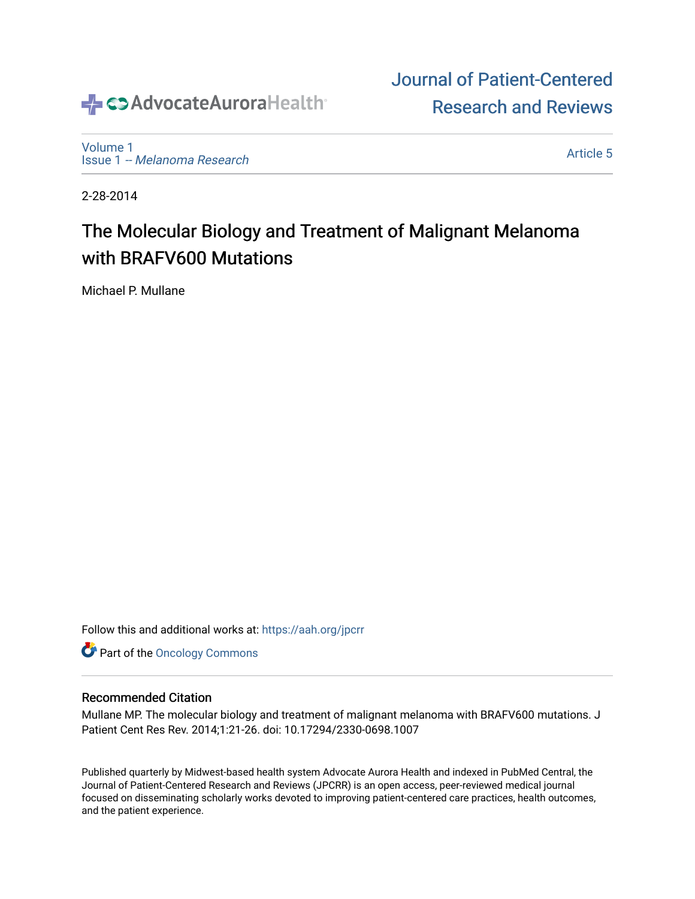# SAdvocateAuroraHealth®

[Volume 1](https://institutionalrepository.aah.org/jpcrr/vol1) Issue 1 [-- Melanoma Research](https://institutionalrepository.aah.org/jpcrr/vol1/iss1) 

[Article 5](https://institutionalrepository.aah.org/jpcrr/vol1/iss1/5) 

[Journal of Patient-Centered](https://institutionalrepository.aah.org/jpcrr) 

[Research and Reviews](https://institutionalrepository.aah.org/jpcrr) 

2-28-2014

## The Molecular Biology and Treatment of Malignant Melanoma with BRAFV600 Mutations

Michael P. Mullane

Follow this and additional works at: [https://aah.org/jpcrr](https://institutionalrepository.aah.org/jpcrr?utm_source=institutionalrepository.aah.org%2Fjpcrr%2Fvol1%2Fiss1%2F5&utm_medium=PDF&utm_campaign=PDFCoverPages) 

**Part of the Oncology Commons** 

#### Recommended Citation

Mullane MP. The molecular biology and treatment of malignant melanoma with BRAFV600 mutations. J Patient Cent Res Rev. 2014;1:21-26. doi: 10.17294/2330-0698.1007

Published quarterly by Midwest-based health system Advocate Aurora Health and indexed in PubMed Central, the Journal of Patient-Centered Research and Reviews (JPCRR) is an open access, peer-reviewed medical journal focused on disseminating scholarly works devoted to improving patient-centered care practices, health outcomes, and the patient experience.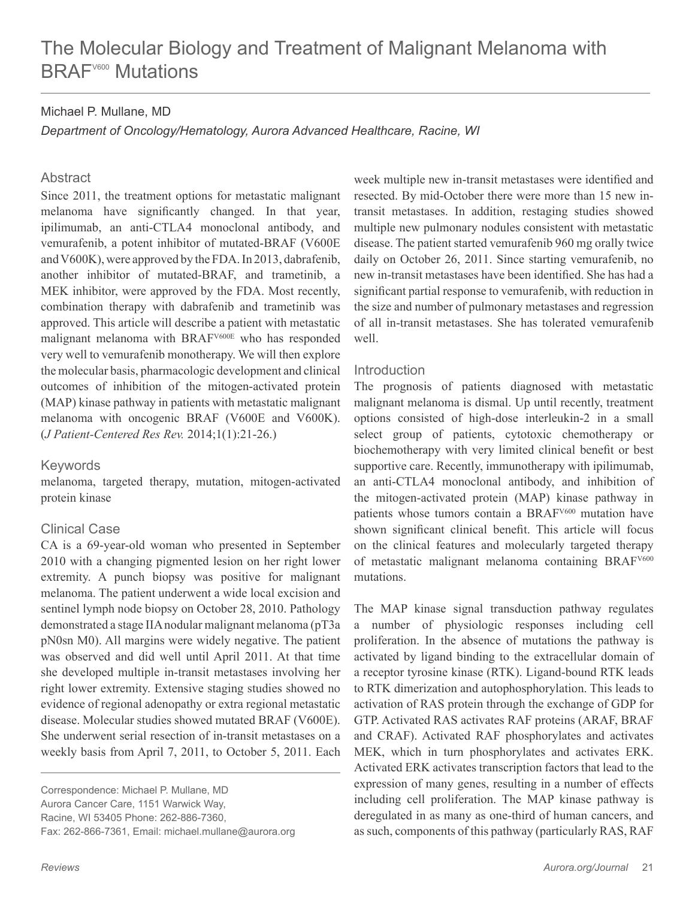#### Michael P. Mullane, MD

*Department of Oncology/Hematology, Aurora Advanced Healthcare, Racine, WI*

#### **Abstract**

Since 2011, the treatment options for metastatic malignant melanoma have significantly changed. In that year, ipilimumab, an anti-CTLA4 monoclonal antibody, and vemurafenib, a potent inhibitor of mutated-BRAF (V600E and V600K), were approved by the FDA. In 2013, dabrafenib, another inhibitor of mutated-BRAF, and trametinib, a MEK inhibitor, were approved by the FDA. Most recently, combination therapy with dabrafenib and trametinib was approved. This article will describe a patient with metastatic malignant melanoma with BRAFV600E who has responded very well to vemurafenib monotherapy. We will then explore the molecular basis, pharmacologic development and clinical outcomes of inhibition of the mitogen-activated protein (MAP) kinase pathway in patients with metastatic malignant melanoma with oncogenic BRAF (V600E and V600K). (*J Patient-Centered Res Rev.* 2014;1(1):21-26.)

#### Keywords

melanoma, targeted therapy, mutation, mitogen-activated protein kinase

#### Clinical Case

CA is a 69-year-old woman who presented in September 2010 with a changing pigmented lesion on her right lower extremity. A punch biopsy was positive for malignant melanoma. The patient underwent a wide local excision and sentinel lymph node biopsy on October 28, 2010. Pathology demonstrated a stage IIA nodular malignant melanoma (pT3a pN0sn M0). All margins were widely negative. The patient was observed and did well until April 2011. At that time she developed multiple in-transit metastases involving her right lower extremity. Extensive staging studies showed no evidence of regional adenopathy or extra regional metastatic disease. Molecular studies showed mutated BRAF (V600E). She underwent serial resection of in-transit metastases on a weekly basis from April 7, 2011, to October 5, 2011. Each

Correspondence: Michael P. Mullane, MD Aurora Cancer Care, 1151 Warwick Way, Racine, WI 53405 Phone: 262-886-7360, Fax: 262-866-7361, Email: michael.mullane@aurora.org week multiple new in-transit metastases were identified and resected. By mid-October there were more than 15 new intransit metastases. In addition, restaging studies showed multiple new pulmonary nodules consistent with metastatic disease. The patient started vemurafenib 960 mg orally twice daily on October 26, 2011. Since starting vemurafenib, no new in-transit metastases have been identified. She has had a significant partial response to vemurafenib, with reduction in the size and number of pulmonary metastases and regression of all in-transit metastases. She has tolerated vemurafenib well.

#### **Introduction**

The prognosis of patients diagnosed with metastatic malignant melanoma is dismal. Up until recently, treatment options consisted of high-dose interleukin-2 in a small select group of patients, cytotoxic chemotherapy or biochemotherapy with very limited clinical benefit or best supportive care. Recently, immunotherapy with ipilimumab, an anti-CTLA4 monoclonal antibody, and inhibition of the mitogen-activated protein (MAP) kinase pathway in patients whose tumors contain a BRAFV600 mutation have shown significant clinical benefit. This article will focus on the clinical features and molecularly targeted therapy of metastatic malignant melanoma containing BRAF<sup>V600</sup> mutations.

The MAP kinase signal transduction pathway regulates a number of physiologic responses including cell proliferation. In the absence of mutations the pathway is activated by ligand binding to the extracellular domain of a receptor tyrosine kinase (RTK). Ligand-bound RTK leads to RTK dimerization and autophosphorylation. This leads to activation of RAS protein through the exchange of GDP for GTP. Activated RAS activates RAF proteins (ARAF, BRAF and CRAF). Activated RAF phosphorylates and activates MEK, which in turn phosphorylates and activates ERK. Activated ERK activates transcription factors that lead to the expression of many genes, resulting in a number of effects including cell proliferation. The MAP kinase pathway is deregulated in as many as one-third of human cancers, and as such, components of this pathway (particularly RAS, RAF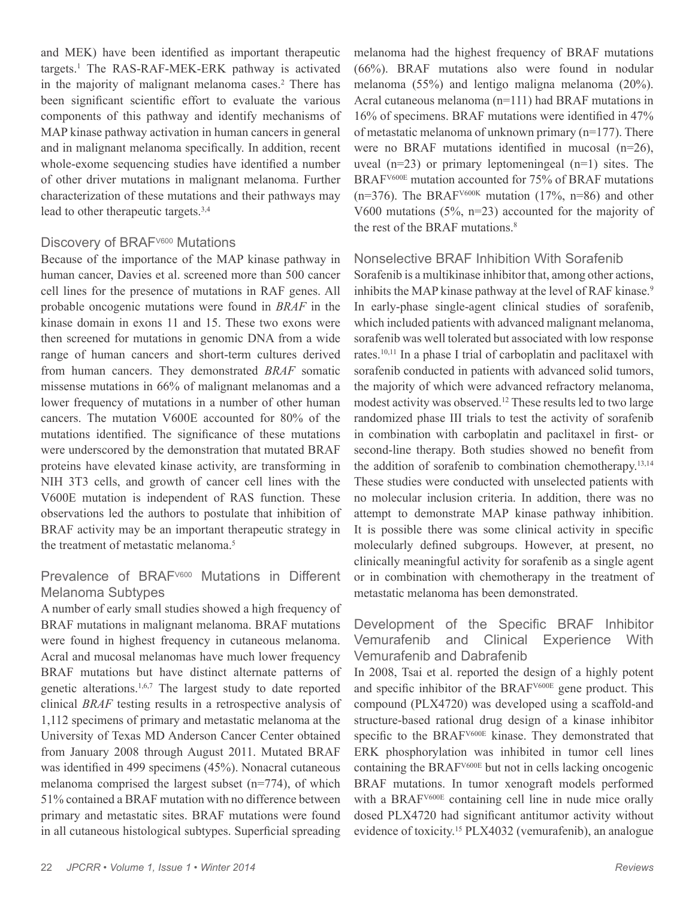and MEK) have been identified as important therapeutic targets.<sup>1</sup> The RAS-RAF-MEK-ERK pathway is activated in the majority of malignant melanoma cases.<sup>2</sup> There has been significant scientific effort to evaluate the various components of this pathway and identify mechanisms of MAP kinase pathway activation in human cancers in general and in malignant melanoma specifically. In addition, recent whole-exome sequencing studies have identified a number of other driver mutations in malignant melanoma. Further characterization of these mutations and their pathways may lead to other therapeutic targets.3,4

#### Discovery of BRAF<sup>V600</sup> Mutations

Because of the importance of the MAP kinase pathway in human cancer, Davies et al. screened more than 500 cancer cell lines for the presence of mutations in RAF genes. All probable oncogenic mutations were found in *BRAF* in the kinase domain in exons 11 and 15. These two exons were then screened for mutations in genomic DNA from a wide range of human cancers and short-term cultures derived from human cancers. They demonstrated *BRAF* somatic missense mutations in 66% of malignant melanomas and a lower frequency of mutations in a number of other human cancers. The mutation V600E accounted for 80% of the mutations identified. The significance of these mutations were underscored by the demonstration that mutated BRAF proteins have elevated kinase activity, are transforming in NIH 3T3 cells, and growth of cancer cell lines with the V600E mutation is independent of RAS function. These observations led the authors to postulate that inhibition of BRAF activity may be an important therapeutic strategy in the treatment of metastatic melanoma.5

## Prevalence of BRAF<sup>V600</sup> Mutations in Different Melanoma Subtypes

A number of early small studies showed a high frequency of BRAF mutations in malignant melanoma. BRAF mutations were found in highest frequency in cutaneous melanoma. Acral and mucosal melanomas have much lower frequency BRAF mutations but have distinct alternate patterns of genetic alterations.1,6,7 The largest study to date reported clinical *BRAF* testing results in a retrospective analysis of 1,112 specimens of primary and metastatic melanoma at the University of Texas MD Anderson Cancer Center obtained from January 2008 through August 2011. Mutated BRAF was identified in 499 specimens (45%). Nonacral cutaneous melanoma comprised the largest subset (n=774), of which 51% contained a BRAF mutation with no difference between primary and metastatic sites. BRAF mutations were found in all cutaneous histological subtypes. Superficial spreading

melanoma had the highest frequency of BRAF mutations (66%). BRAF mutations also were found in nodular melanoma (55%) and lentigo maligna melanoma (20%). Acral cutaneous melanoma (n=111) had BRAF mutations in 16% of specimens. BRAF mutations were identified in 47% of metastatic melanoma of unknown primary (n=177). There were no BRAF mutations identified in mucosal (n=26), uveal  $(n=23)$  or primary leptomeningeal  $(n=1)$  sites. The BRAFV600E mutation accounted for 75% of BRAF mutations  $(n=376)$ . The BRAF<sup>V600K</sup> mutation (17%, n=86) and other V600 mutations (5%, n=23) accounted for the majority of the rest of the BRAF mutations.<sup>8</sup>

#### Nonselective BRAF Inhibition With Sorafenib

Sorafenib is a multikinase inhibitor that, among other actions, inhibits the MAP kinase pathway at the level of RAF kinase.<sup>9</sup> In early-phase single-agent clinical studies of sorafenib, which included patients with advanced malignant melanoma, sorafenib was well tolerated but associated with low response rates.10,11 In a phase I trial of carboplatin and paclitaxel with sorafenib conducted in patients with advanced solid tumors, the majority of which were advanced refractory melanoma, modest activity was observed.<sup>12</sup> These results led to two large randomized phase III trials to test the activity of sorafenib in combination with carboplatin and paclitaxel in first- or second-line therapy. Both studies showed no benefit from the addition of sorafenib to combination chemotherapy.13,14 These studies were conducted with unselected patients with no molecular inclusion criteria. In addition, there was no attempt to demonstrate MAP kinase pathway inhibition. It is possible there was some clinical activity in specific molecularly defined subgroups. However, at present, no clinically meaningful activity for sorafenib as a single agent or in combination with chemotherapy in the treatment of metastatic melanoma has been demonstrated.

## Development of the Specific BRAF Inhibitor Vemurafenib and Clinical Experience With Vemurafenib and Dabrafenib

In 2008, Tsai et al. reported the design of a highly potent and specific inhibitor of the BRAFV600E gene product. This compound (PLX4720) was developed using a scaffold-and structure-based rational drug design of a kinase inhibitor specific to the BRAF<sup>V600E</sup> kinase. They demonstrated that ERK phosphorylation was inhibited in tumor cell lines containing the BRAFV600E but not in cells lacking oncogenic BRAF mutations. In tumor xenograft models performed with a BRAF<sup>V600E</sup> containing cell line in nude mice orally dosed PLX4720 had significant antitumor activity without evidence of toxicity.15 PLX4032 (vemurafenib), an analogue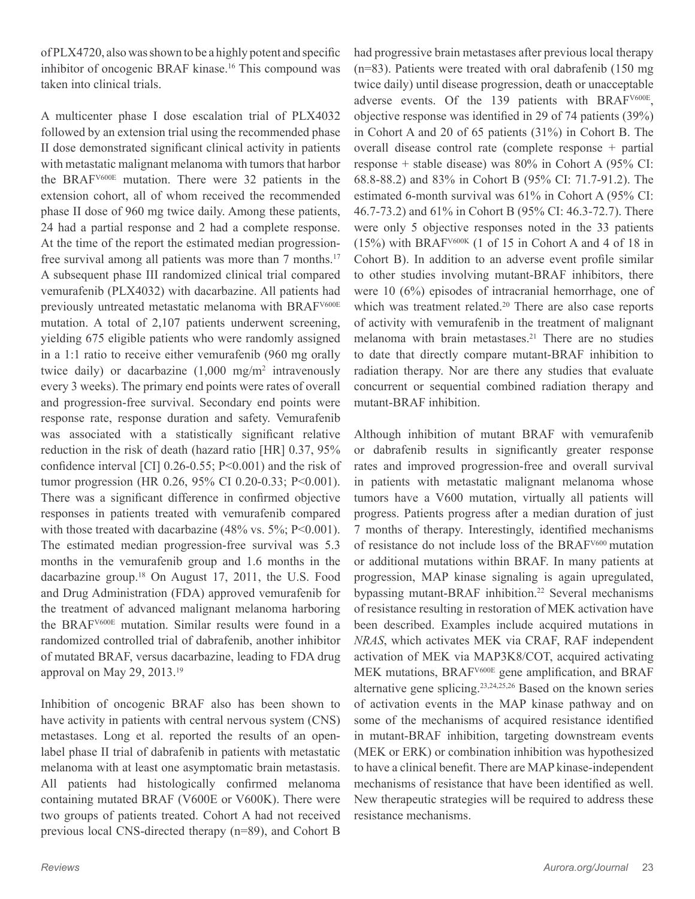of PLX4720, also was shown to be a highly potent and specific inhibitor of oncogenic BRAF kinase.<sup>16</sup> This compound was taken into clinical trials.

A multicenter phase I dose escalation trial of PLX4032 followed by an extension trial using the recommended phase II dose demonstrated significant clinical activity in patients with metastatic malignant melanoma with tumors that harbor the BRAFV600E mutation. There were 32 patients in the extension cohort, all of whom received the recommended phase II dose of 960 mg twice daily. Among these patients, 24 had a partial response and 2 had a complete response. At the time of the report the estimated median progressionfree survival among all patients was more than 7 months.<sup>17</sup> A subsequent phase III randomized clinical trial compared vemurafenib (PLX4032) with dacarbazine. All patients had previously untreated metastatic melanoma with BRAFV600E mutation. A total of 2,107 patients underwent screening, yielding 675 eligible patients who were randomly assigned in a 1:1 ratio to receive either vemurafenib (960 mg orally twice daily) or dacarbazine (1,000 mg/m<sup>2</sup> intravenously every 3 weeks). The primary end points were rates of overall and progression-free survival. Secondary end points were response rate, response duration and safety. Vemurafenib was associated with a statistically significant relative reduction in the risk of death (hazard ratio [HR] 0.37, 95% confidence interval [CI] 0.26-0.55; P<0.001) and the risk of tumor progression (HR 0.26, 95% CI 0.20-0.33; P<0.001). There was a significant difference in confirmed objective responses in patients treated with vemurafenib compared with those treated with dacarbazine  $(48\% \text{ vs. } 5\%; P<0.001)$ . The estimated median progression-free survival was 5.3 months in the vemurafenib group and 1.6 months in the dacarbazine group.18 On August 17, 2011, the U.S. Food and Drug Administration (FDA) approved vemurafenib for the treatment of advanced malignant melanoma harboring the BRAFV600E mutation. Similar results were found in a randomized controlled trial of dabrafenib, another inhibitor of mutated BRAF, versus dacarbazine, leading to FDA drug approval on May 29, 2013.19

Inhibition of oncogenic BRAF also has been shown to have activity in patients with central nervous system (CNS) metastases. Long et al. reported the results of an openlabel phase II trial of dabrafenib in patients with metastatic melanoma with at least one asymptomatic brain metastasis. All patients had histologically confirmed melanoma containing mutated BRAF (V600E or V600K). There were two groups of patients treated. Cohort A had not received previous local CNS-directed therapy (n=89), and Cohort B

had progressive brain metastases after previous local therapy (n=83). Patients were treated with oral dabrafenib (150 mg twice daily) until disease progression, death or unacceptable adverse events. Of the 139 patients with BRAF<sup>V600E</sup>, objective response was identified in 29 of 74 patients (39%) in Cohort A and 20 of 65 patients (31%) in Cohort B. The overall disease control rate (complete response + partial response + stable disease) was 80% in Cohort A (95% CI: 68.8-88.2) and 83% in Cohort B (95% CI: 71.7-91.2). The estimated 6-month survival was 61% in Cohort A (95% CI: 46.7-73.2) and 61% in Cohort B (95% CI: 46.3-72.7). There were only 5 objective responses noted in the 33 patients (15%) with BRAFV600K (1 of 15 in Cohort A and 4 of 18 in Cohort B). In addition to an adverse event profile similar to other studies involving mutant-BRAF inhibitors, there were 10 (6%) episodes of intracranial hemorrhage, one of which was treatment related.<sup>20</sup> There are also case reports of activity with vemurafenib in the treatment of malignant melanoma with brain metastases.<sup>21</sup> There are no studies to date that directly compare mutant-BRAF inhibition to radiation therapy. Nor are there any studies that evaluate concurrent or sequential combined radiation therapy and mutant-BRAF inhibition.

Although inhibition of mutant BRAF with vemurafenib or dabrafenib results in significantly greater response rates and improved progression-free and overall survival in patients with metastatic malignant melanoma whose tumors have a V600 mutation, virtually all patients will progress. Patients progress after a median duration of just 7 months of therapy. Interestingly, identified mechanisms of resistance do not include loss of the BRAFV600 mutation or additional mutations within BRAF. In many patients at progression, MAP kinase signaling is again upregulated, bypassing mutant-BRAF inhibition.<sup>22</sup> Several mechanisms of resistance resulting in restoration of MEK activation have been described. Examples include acquired mutations in *NRAS*, which activates MEK via CRAF, RAF independent activation of MEK via MAP3K8/COT, acquired activating MEK mutations, BRAFV600E gene amplification, and BRAF alternative gene splicing.23,24,25,26 Based on the known series of activation events in the MAP kinase pathway and on some of the mechanisms of acquired resistance identified in mutant-BRAF inhibition, targeting downstream events (MEK or ERK) or combination inhibition was hypothesized to have a clinical benefit. There are MAP kinase-independent mechanisms of resistance that have been identified as well. New therapeutic strategies will be required to address these resistance mechanisms.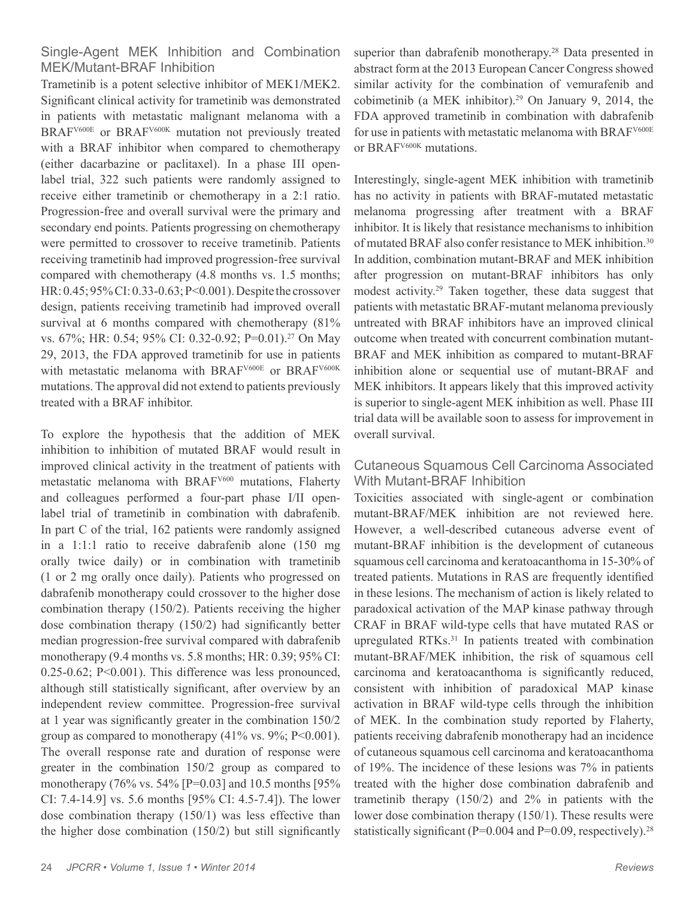## Single-Agent MEK Inhibition and Combination MEK/Mutant-BRAF Inhibition

Trametinib is a potent selective inhibitor of MEK1/MEK2. Significant clinical activity for trametinib was demonstrated in patients with metastatic malignant melanoma with a BRAF<sup>V600E</sup> or BRAF<sup>V600K</sup> mutation not previously treated with a BRAF inhibitor when compared to chemotherapy (either dacarbazine or paclitaxel). In a phase III openlabel trial, 322 such patients were randomly assigned to receive either trametinib or chemotherapy in a 2:1 ratio. Progression-free and overall survival were the primary and secondary end points. Patients progressing on chemotherapy were permitted to crossover to receive trametinib. Patients receiving trametinib had improved progression-free survival compared with chemotherapy  $(4.8 \text{ months} \text{ vs. } 1.5 \text{ months})$ ; HR: 0.45; 95% CI: 0.33-0.63; P<0.001). Despite the crossover design, patients receiving trametinib had improved overall survival at 6 months compared with chemotherapy  $(81\%$ vs. 67%; HR: 0.54; 95% CI: 0.32-0.92; P=0.01).27 On May 29, 2013, the FDA approved trametinib for use in patients with metastatic melanoma with BRAF<sup>V600E</sup> or BRAF<sup>V600K</sup> mutations. The approval did not extend to patients previously treated with a BRAF inhibitor.

To explore the hypothesis that the addition of MEK inhibition to inhibition of mutated BRAF would result in improved clinical activity in the treatment of patients with metastatic melanoma with BRAFV600 mutations, Flaherty and colleagues performed a four-part phase I/II openlabel trial of trametinib in combination with dabrafenib. In part C of the trial, 162 patients were randomly assigned in a 1:1:1 ratio to receive dabrafenib alone (150 mg orally twice daily) or in combination with trametinib (1 or 2 mg orally once daily). Patients who progressed on dabrafenib monotherapy could crossover to the higher dose combination therapy (150/2). Patients receiving the higher dose combination therapy (150/2) had significantly better median progression-free survival compared with dabrafenib monotherapy (9.4 months vs. 5.8 months; HR: 0.39; 95% CI: 0.25-0.62; P<0.001). This difference was less pronounced, although still statistically significant, after overview by an independent review committee. Progression-free survival at 1 year was significantly greater in the combination 150/2 group as compared to monotherapy  $(41\% \text{ vs. } 9\%; P<0.001)$ . The overall response rate and duration of response were greater in the combination 150/2 group as compared to monotherapy (76% vs. 54% [P=0.03] and 10.5 months [95% CI: 7.4-14.9] vs. 5.6 months [95% CI: 4.5-7.4]). The lower dose combination therapy (150/1) was less effective than the higher dose combination (150/2) but still significantly

superior than dabrafenib monotherapy.<sup>28</sup> Data presented in abstract form at the 2013 European Cancer Congress showed similar activity for the combination of vemurafenib and cobimetinib (a MEK inhibitor).29 On January 9, 2014, the FDA approved trametinib in combination with dabrafenib for use in patients with metastatic melanoma with BRAFV600E or BRAF<sup>V600K</sup> mutations.

Interestingly, single-agent MEK inhibition with trametinib has no activity in patients with BRAF-mutated metastatic melanoma progressing after treatment with a BRAF inhibitor. It is likely that resistance mechanisms to inhibition of mutated BRAF also confer resistance to MEK inhibition.30 In addition, combination mutant-BRAF and MEK inhibition after progression on mutant-BRAF inhibitors has only modest activity.29 Taken together, these data suggest that patients with metastatic BRAF-mutant melanoma previously untreated with BRAF inhibitors have an improved clinical outcome when treated with concurrent combination mutant-BRAF and MEK inhibition as compared to mutant-BRAF inhibition alone or sequential use of mutant-BRAF and MEK inhibitors. It appears likely that this improved activity is superior to single-agent MEK inhibition as well. Phase III trial data will be available soon to assess for improvement in overall survival.

## Cutaneous Squamous Cell Carcinoma Associated With Mutant-BRAF Inhibition

Toxicities associated with single-agent or combination mutant-BRAF/MEK inhibition are not reviewed here. However, a well-described cutaneous adverse event of mutant-BRAF inhibition is the development of cutaneous squamous cell carcinoma and keratoacanthoma in 15-30% of treated patients. Mutations in RAS are frequently identified in these lesions. The mechanism of action is likely related to paradoxical activation of the MAP kinase pathway through CRAF in BRAF wild-type cells that have mutated RAS or upregulated RTKs.31 In patients treated with combination mutant-BRAF/MEK inhibition, the risk of squamous cell carcinoma and keratoacanthoma is significantly reduced, consistent with inhibition of paradoxical MAP kinase activation in BRAF wild-type cells through the inhibition of MEK. In the combination study reported by Flaherty, patients receiving dabrafenib monotherapy had an incidence of cutaneous squamous cell carcinoma and keratoacanthoma of 19%. The incidence of these lesions was 7% in patients treated with the higher dose combination dabrafenib and trametinib therapy (150/2) and 2% in patients with the lower dose combination therapy (150/1). These results were statistically significant ( $P=0.004$  and  $P=0.09$ , respectively).<sup>28</sup>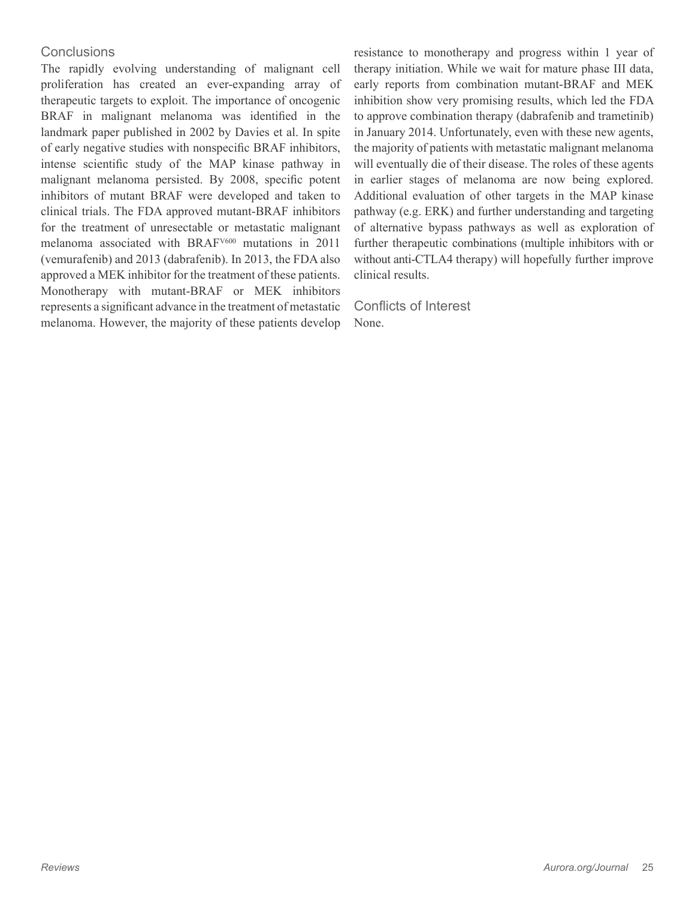## **Conclusions**

The rapidly evolving understanding of malignant cell proliferation has created an ever-expanding array of therapeutic targets to exploit. The importance of oncogenic BRAF in malignant melanoma was identified in the landmark paper published in 2002 by Davies et al. In spite of early negative studies with nonspecific BRAF inhibitors, intense scientific study of the MAP kinase pathway in malignant melanoma persisted. By 2008, specific potent inhibitors of mutant BRAF were developed and taken to clinical trials. The FDA approved mutant-BRAF inhibitors for the treatment of unresectable or metastatic malignant melanoma associated with BRAFV600 mutations in 2011 (vemurafenib) and 2013 (dabrafenib). In 2013, the FDA also approved a MEK inhibitor for the treatment of these patients. Monotherapy with mutant-BRAF or MEK inhibitors represents a significant advance in the treatment of metastatic melanoma. However, the majority of these patients develop

resistance to monotherapy and progress within 1 year of therapy initiation. While we wait for mature phase III data, early reports from combination mutant-BRAF and MEK inhibition show very promising results, which led the FDA to approve combination therapy (dabrafenib and trametinib) in January 2014. Unfortunately, even with these new agents, the majority of patients with metastatic malignant melanoma will eventually die of their disease. The roles of these agents in earlier stages of melanoma are now being explored. Additional evaluation of other targets in the MAP kinase pathway (e.g. ERK) and further understanding and targeting of alternative bypass pathways as well as exploration of further therapeutic combinations (multiple inhibitors with or without anti-CTLA4 therapy) will hopefully further improve clinical results.

Conflicts of Interest None.